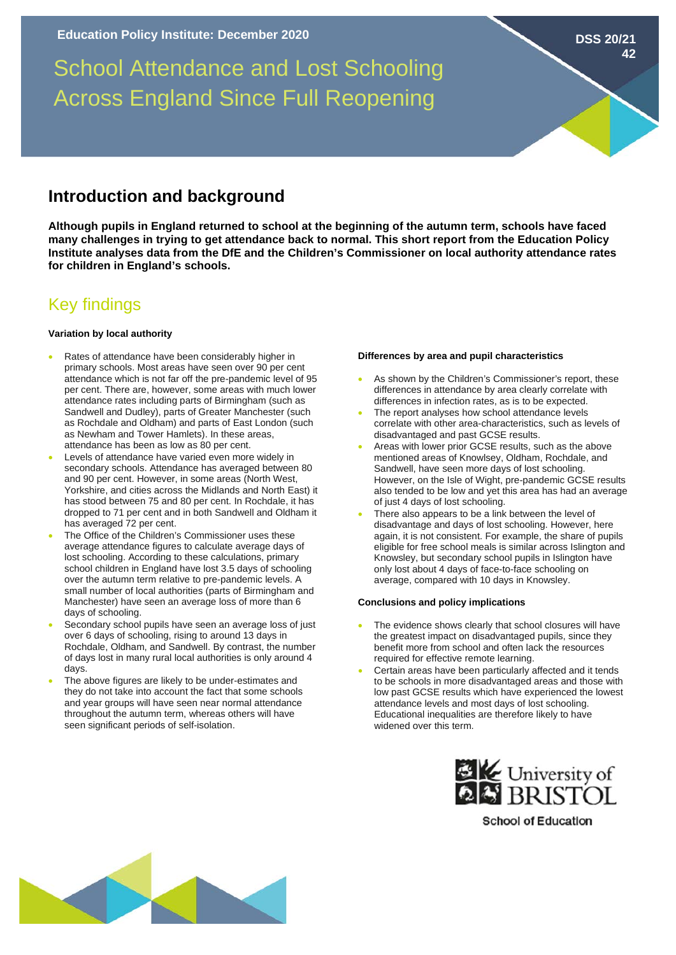School Attendance and Lost Schooling Across England Since Full Reopening

## **Introduction and background**

**Although pupils in England returned to school at the beginning of the autumn term, schools have faced many challenges in trying to get attendance back to normal. This short report from the Education Policy Institute analyses data from the DfE and the Children's Commissioner on local authority attendance rates for children in England's schools.** 

# Key findings

#### **Variation by local authority**

- Rates of attendance have been considerably higher in primary schools. Most areas have seen over 90 per cent attendance which is not far off the pre-pandemic level of 95 per cent. There are, however, some areas with much lower attendance rates including parts of Birmingham (such as Sandwell and Dudley), parts of Greater Manchester (such as Rochdale and Oldham) and parts of East London (such as Newham and Tower Hamlets). In these areas, attendance has been as low as 80 per cent.
- Levels of attendance have varied even more widely in secondary schools. Attendance has averaged between 80 and 90 per cent. However, in some areas (North West, Yorkshire, and cities across the Midlands and North East) it has stood between 75 and 80 per cent. In Rochdale, it has dropped to 71 per cent and in both Sandwell and Oldham it has averaged 72 per cent.
- The Office of the Children's Commissioner uses these average attendance figures to calculate average days of lost schooling. According to these calculations, primary school children in England have lost 3.5 days of schooling over the autumn term relative to pre-pandemic levels. A small number of local authorities (parts of Birmingham and Manchester) have seen an average loss of more than 6 days of schooling.
- Secondary school pupils have seen an average loss of just over 6 days of schooling, rising to around 13 days in Rochdale, Oldham, and Sandwell. By contrast, the number of days lost in many rural local authorities is only around 4 days.
- The above figures are likely to be under-estimates and they do not take into account the fact that some schools and year groups will have seen near normal attendance throughout the autumn term, whereas others will have seen significant periods of self-isolation.

#### **Differences by area and pupil characteristics**

- As shown by the Children's Commissioner's report, these differences in attendance by area clearly correlate with differences in infection rates, as is to be expected.
- The report analyses how school attendance levels correlate with other area-characteristics, such as levels of disadvantaged and past GCSE results.
- Areas with lower prior GCSE results, such as the above mentioned areas of Knowlsey, Oldham, Rochdale, and Sandwell, have seen more days of lost schooling. However, on the Isle of Wight, pre-pandemic GCSE results also tended to be low and yet this area has had an average of just 4 days of lost schooling.
- There also appears to be a link between the level of disadvantage and days of lost schooling. However, here again, it is not consistent. For example, the share of pupils eligible for free school meals is similar across Islington and Knowsley, but secondary school pupils in Islington have only lost about 4 days of face-to-face schooling on average, compared with 10 days in Knowsley.

### **Conclusions and policy implications**

- The evidence shows clearly that school closures will have the greatest impact on disadvantaged pupils, since they benefit more from school and often lack the resources required for effective remote learning.
- Certain areas have been particularly affected and it tends to be schools in more disadvantaged areas and those with low past GCSE results which have experienced the lowest attendance levels and most days of lost schooling. Educational inequalities are therefore likely to have widened over this term.



**School of Education** 



**DSS 20/21**

**42**